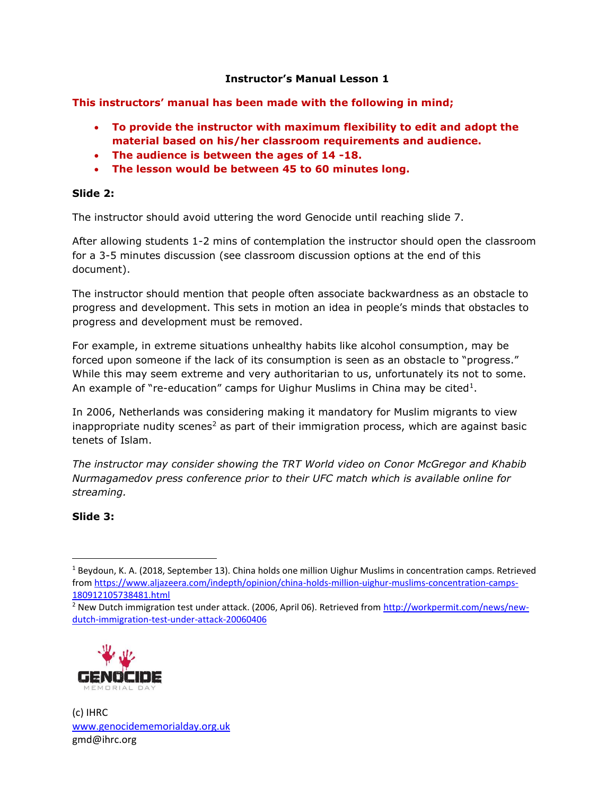### **Instructor's Manual Lesson 1**

**This instructors' manual has been made with the following in mind;**

- **To provide the instructor with maximum flexibility to edit and adopt the material based on his/her classroom requirements and audience.**
- **The audience is between the ages of 14 -18.**
- **The lesson would be between 45 to 60 minutes long.**

#### **Slide 2:**

The instructor should avoid uttering the word Genocide until reaching slide 7.

After allowing students 1-2 mins of contemplation the instructor should open the classroom for a 3-5 minutes discussion (see classroom discussion options at the end of this document).

The instructor should mention that people often associate backwardness as an obstacle to progress and development. This sets in motion an idea in people's minds that obstacles to progress and development must be removed.

For example, in extreme situations unhealthy habits like alcohol consumption, may be forced upon someone if the lack of its consumption is seen as an obstacle to "progress." While this may seem extreme and very authoritarian to us, unfortunately its not to some. An example of "re-education" camps for Uighur Muslims in China may be cited $1$ .

In 2006, Netherlands was considering making it mandatory for Muslim migrants to view inappropriate nudity scenes<sup>2</sup> as part of their immigration process, which are against basic tenets of Islam.

*The instructor may consider showing the TRT World video on Conor McGregor and Khabib Nurmagamedov press conference prior to their UFC match which is available online for streaming.* 

## **Slide 3:**

 $\overline{\phantom{a}}$ 

<sup>2</sup> New Dutch immigration test under attack. (2006, April 06). Retrieved from [http://workpermit.com/news/new](http://workpermit.com/news/new-dutch-immigration-test-under-attack-20060406)[dutch-immigration-test-under-attack-20060406](http://workpermit.com/news/new-dutch-immigration-test-under-attack-20060406)



<sup>1</sup> Beydoun, K. A. (2018, September 13). China holds one million Uighur Muslims in concentration camps. Retrieved from [https://www.aljazeera.com/indepth/opinion/china-holds-million-uighur-muslims-concentration-camps-](https://www.aljazeera.com/indepth/opinion/china-holds-million-uighur-muslims-concentration-camps-180912105738481.html)[180912105738481.html](https://www.aljazeera.com/indepth/opinion/china-holds-million-uighur-muslims-concentration-camps-180912105738481.html)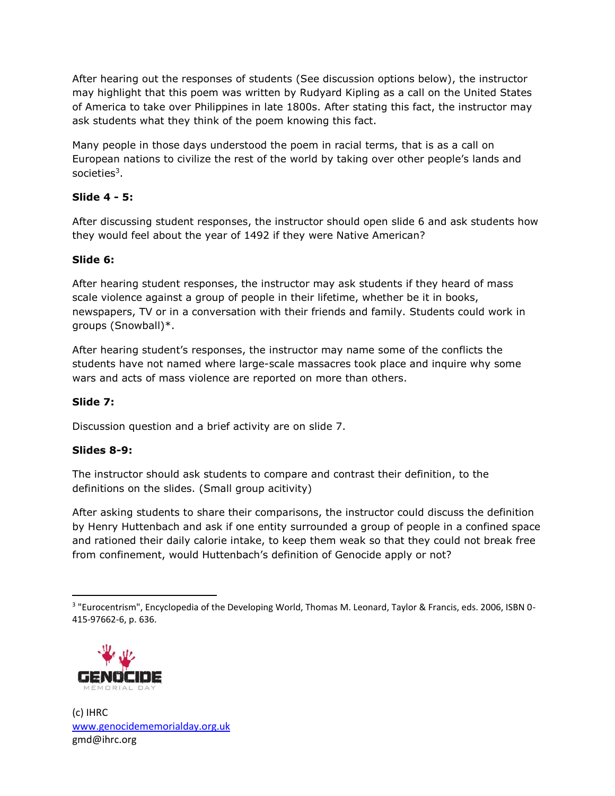After hearing out the responses of students (See discussion options below), the instructor may highlight that this poem was written by Rudyard Kipling as a call on the United States of America to take over Philippines in late 1800s. After stating this fact, the instructor may ask students what they think of the poem knowing this fact.

Many people in those days understood the poem in racial terms, that is as a call on European nations to civilize the rest of the world by taking over other people's lands and societies<sup>3</sup>.

# **Slide 4 - 5:**

After discussing student responses, the instructor should open slide 6 and ask students how they would feel about the year of 1492 if they were Native American?

# **Slide 6:**

After hearing student responses, the instructor may ask students if they heard of mass scale violence against a group of people in their lifetime, whether be it in books, newspapers, TV or in a conversation with their friends and family. Students could work in groups (Snowball)\*.

After hearing student's responses, the instructor may name some of the conflicts the students have not named where large-scale massacres took place and inquire why some wars and acts of mass violence are reported on more than others.

# **Slide 7:**

Discussion question and a brief activity are on slide 7.

## **Slides 8-9:**

 $\overline{\phantom{a}}$ 

The instructor should ask students to compare and contrast their definition, to the definitions on the slides. (Small group acitivity)

After asking students to share their comparisons, the instructor could discuss the definition by Henry Huttenbach and ask if one entity surrounded a group of people in a confined space and rationed their daily calorie intake, to keep them weak so that they could not break free from confinement, would Huttenbach's definition of Genocide apply or not?

<sup>&</sup>lt;sup>3</sup> "Eurocentrism", Encyclopedia of the Developing World, Thomas M. Leonard, Taylor & Francis, eds. 2006, ISBN 0-415-97662-6, p. 636.

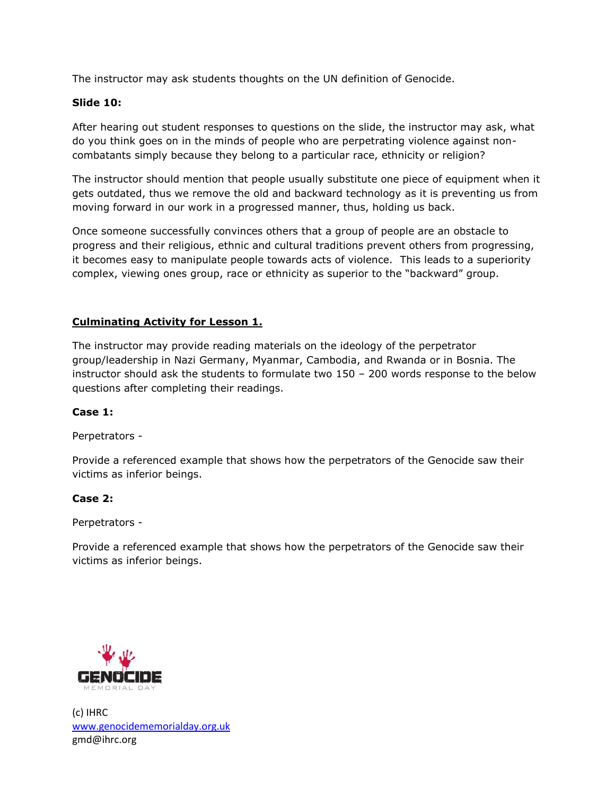The instructor may ask students thoughts on the UN definition of Genocide.

#### **Slide 10:**

After hearing out student responses to questions on the slide, the instructor may ask, what do you think goes on in the minds of people who are perpetrating violence against noncombatants simply because they belong to a particular race, ethnicity or religion?

The instructor should mention that people usually substitute one piece of equipment when it gets outdated, thus we remove the old and backward technology as it is preventing us from moving forward in our work in a progressed manner, thus, holding us back.

Once someone successfully convinces others that a group of people are an obstacle to progress and their religious, ethnic and cultural traditions prevent others from progressing, it becomes easy to manipulate people towards acts of violence. This leads to a superiority complex, viewing ones group, race or ethnicity as superior to the "backward" group.

### **Culminating Activity for Lesson 1.**

The instructor may provide reading materials on the ideology of the perpetrator group/leadership in Nazi Germany, Myanmar, Cambodia, and Rwanda or in Bosnia. The instructor should ask the students to formulate two 150 – 200 words response to the below questions after completing their readings.

#### **Case 1:**

Perpetrators -

Provide a referenced example that shows how the perpetrators of the Genocide saw their victims as inferior beings.

#### **Case 2:**

Perpetrators -

Provide a referenced example that shows how the perpetrators of the Genocide saw their victims as inferior beings.